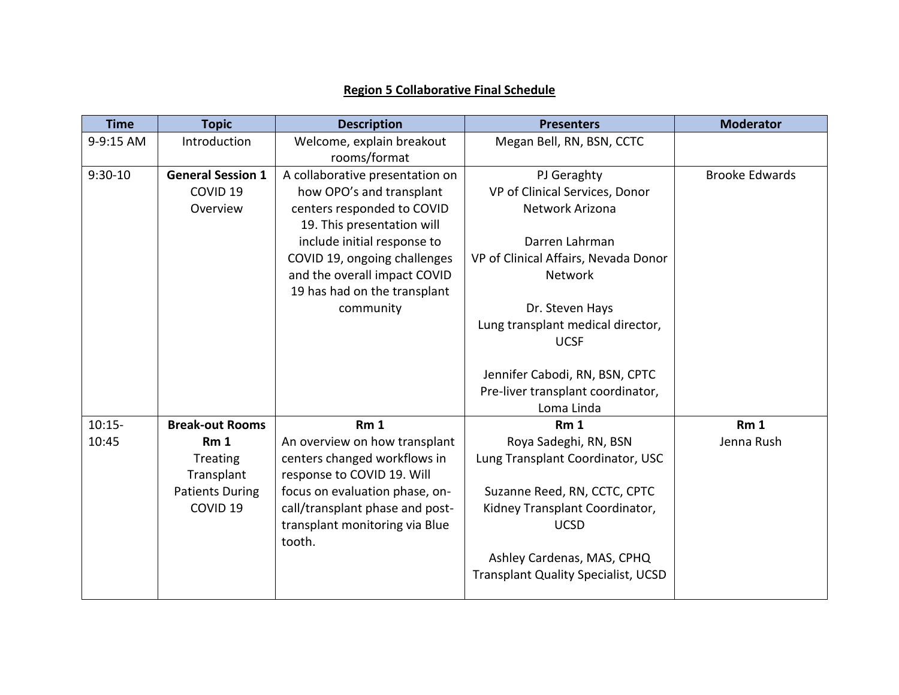## **Region 5 Collaborative Final Schedule**

| <b>Time</b> | <b>Topic</b>             | <b>Description</b>              | <b>Presenters</b>                          | <b>Moderator</b>      |
|-------------|--------------------------|---------------------------------|--------------------------------------------|-----------------------|
| 9-9:15 AM   | Introduction             | Welcome, explain breakout       | Megan Bell, RN, BSN, CCTC                  |                       |
|             |                          | rooms/format                    |                                            |                       |
| $9:30-10$   | <b>General Session 1</b> | A collaborative presentation on | PJ Geraghty                                | <b>Brooke Edwards</b> |
|             | COVID <sub>19</sub>      | how OPO's and transplant        | VP of Clinical Services, Donor             |                       |
|             | Overview                 | centers responded to COVID      | Network Arizona                            |                       |
|             |                          | 19. This presentation will      |                                            |                       |
|             |                          | include initial response to     | Darren Lahrman                             |                       |
|             |                          | COVID 19, ongoing challenges    | VP of Clinical Affairs, Nevada Donor       |                       |
|             |                          | and the overall impact COVID    | <b>Network</b>                             |                       |
|             |                          | 19 has had on the transplant    |                                            |                       |
|             |                          | community                       | Dr. Steven Hays                            |                       |
|             |                          |                                 | Lung transplant medical director,          |                       |
|             |                          |                                 | <b>UCSF</b>                                |                       |
|             |                          |                                 |                                            |                       |
|             |                          |                                 | Jennifer Cabodi, RN, BSN, CPTC             |                       |
|             |                          |                                 | Pre-liver transplant coordinator,          |                       |
|             |                          |                                 | Loma Linda                                 |                       |
| $10:15 -$   | <b>Break-out Rooms</b>   | Rm <sub>1</sub>                 | Rm <sub>1</sub>                            | Rm <sub>1</sub>       |
| 10:45       | Rm <sub>1</sub>          | An overview on how transplant   | Roya Sadeghi, RN, BSN                      | Jenna Rush            |
|             | Treating                 | centers changed workflows in    | Lung Transplant Coordinator, USC           |                       |
|             | Transplant               | response to COVID 19. Will      |                                            |                       |
|             | <b>Patients During</b>   | focus on evaluation phase, on-  | Suzanne Reed, RN, CCTC, CPTC               |                       |
|             | COVID <sub>19</sub>      | call/transplant phase and post- | Kidney Transplant Coordinator,             |                       |
|             |                          | transplant monitoring via Blue  | <b>UCSD</b>                                |                       |
|             |                          | tooth.                          |                                            |                       |
|             |                          |                                 | Ashley Cardenas, MAS, CPHQ                 |                       |
|             |                          |                                 | <b>Transplant Quality Specialist, UCSD</b> |                       |
|             |                          |                                 |                                            |                       |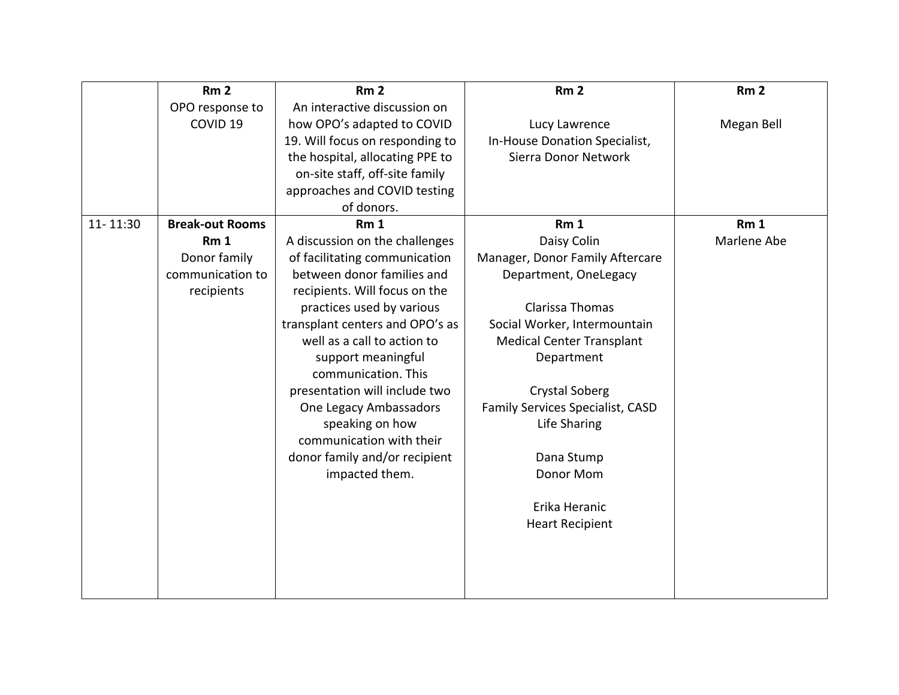|          | Rm <sub>2</sub>        | Rm <sub>2</sub>                 | Rm <sub>2</sub>                         | Rm <sub>2</sub> |
|----------|------------------------|---------------------------------|-----------------------------------------|-----------------|
|          | OPO response to        | An interactive discussion on    |                                         |                 |
|          | COVID <sub>19</sub>    | how OPO's adapted to COVID      | Lucy Lawrence                           | Megan Bell      |
|          |                        | 19. Will focus on responding to | In-House Donation Specialist,           |                 |
|          |                        | the hospital, allocating PPE to | Sierra Donor Network                    |                 |
|          |                        | on-site staff, off-site family  |                                         |                 |
|          |                        | approaches and COVID testing    |                                         |                 |
|          |                        | of donors.                      |                                         |                 |
| 11-11:30 | <b>Break-out Rooms</b> | Rm <sub>1</sub>                 | Rm <sub>1</sub>                         | Rm <sub>1</sub> |
|          | Rm <sub>1</sub>        | A discussion on the challenges  | Daisy Colin                             | Marlene Abe     |
|          | Donor family           | of facilitating communication   | Manager, Donor Family Aftercare         |                 |
|          | communication to       | between donor families and      | Department, OneLegacy                   |                 |
|          | recipients             | recipients. Will focus on the   |                                         |                 |
|          |                        | practices used by various       | Clarissa Thomas                         |                 |
|          |                        | transplant centers and OPO's as | Social Worker, Intermountain            |                 |
|          |                        | well as a call to action to     | <b>Medical Center Transplant</b>        |                 |
|          |                        | support meaningful              | Department                              |                 |
|          |                        | communication. This             |                                         |                 |
|          |                        | presentation will include two   | <b>Crystal Soberg</b>                   |                 |
|          |                        | One Legacy Ambassadors          | <b>Family Services Specialist, CASD</b> |                 |
|          |                        | speaking on how                 | Life Sharing                            |                 |
|          |                        | communication with their        |                                         |                 |
|          |                        | donor family and/or recipient   | Dana Stump                              |                 |
|          |                        | impacted them.                  | Donor Mom                               |                 |
|          |                        |                                 |                                         |                 |
|          |                        |                                 | Erika Heranic                           |                 |
|          |                        |                                 | <b>Heart Recipient</b>                  |                 |
|          |                        |                                 |                                         |                 |
|          |                        |                                 |                                         |                 |
|          |                        |                                 |                                         |                 |
|          |                        |                                 |                                         |                 |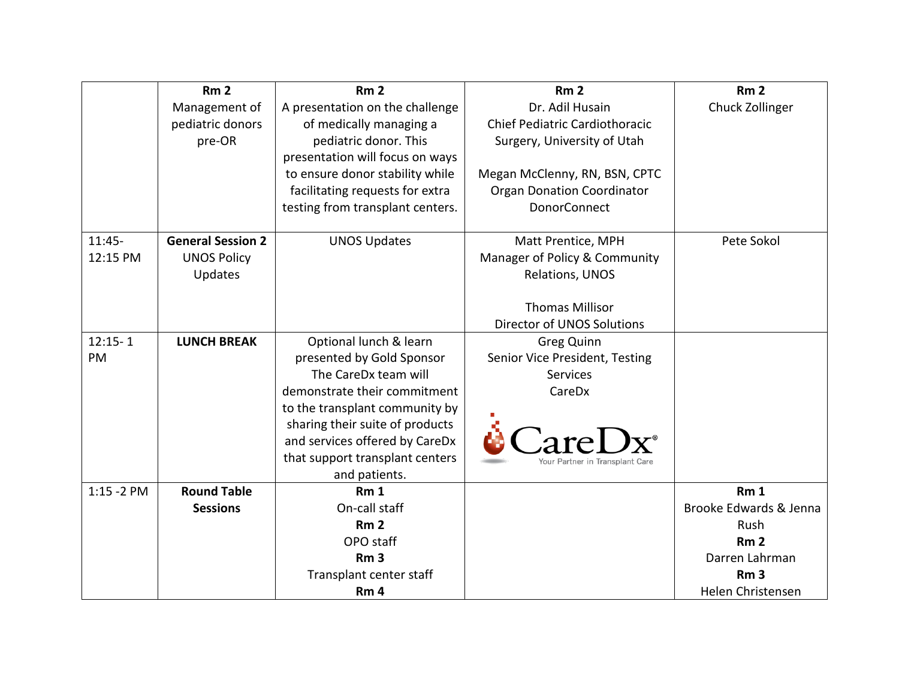|               | Rm <sub>2</sub>          | Rm <sub>2</sub>                  | Rm <sub>2</sub>                       | Rm <sub>2</sub>        |
|---------------|--------------------------|----------------------------------|---------------------------------------|------------------------|
|               | Management of            | A presentation on the challenge  | Dr. Adil Husain                       | Chuck Zollinger        |
|               | pediatric donors         | of medically managing a          | <b>Chief Pediatric Cardiothoracic</b> |                        |
|               | pre-OR                   | pediatric donor. This            | Surgery, University of Utah           |                        |
|               |                          | presentation will focus on ways  |                                       |                        |
|               |                          | to ensure donor stability while  | Megan McClenny, RN, BSN, CPTC         |                        |
|               |                          | facilitating requests for extra  | <b>Organ Donation Coordinator</b>     |                        |
|               |                          | testing from transplant centers. | <b>DonorConnect</b>                   |                        |
| $11:45-$      | <b>General Session 2</b> | <b>UNOS Updates</b>              | Matt Prentice, MPH                    | Pete Sokol             |
| 12:15 PM      | <b>UNOS Policy</b>       |                                  | Manager of Policy & Community         |                        |
|               | Updates                  |                                  | Relations, UNOS                       |                        |
|               |                          |                                  |                                       |                        |
|               |                          |                                  | <b>Thomas Millisor</b>                |                        |
|               |                          |                                  | <b>Director of UNOS Solutions</b>     |                        |
| $12:15 - 1$   | <b>LUNCH BREAK</b>       | Optional lunch & learn           | <b>Greg Quinn</b>                     |                        |
| PM            |                          | presented by Gold Sponsor        | Senior Vice President, Testing        |                        |
|               |                          | The CareDx team will             | <b>Services</b>                       |                        |
|               |                          | demonstrate their commitment     | CareDx                                |                        |
|               |                          | to the transplant community by   |                                       |                        |
|               |                          | sharing their suite of products  |                                       |                        |
|               |                          | and services offered by CareDx   |                                       |                        |
|               |                          | that support transplant centers  | Your Partner in Transplant Care       |                        |
|               |                          | and patients.                    |                                       |                        |
| $1:15 - 2$ PM | <b>Round Table</b>       | Rm <sub>1</sub>                  |                                       | Rm <sub>1</sub>        |
|               | <b>Sessions</b>          | On-call staff                    |                                       | Brooke Edwards & Jenna |
|               |                          | Rm <sub>2</sub>                  |                                       | Rush                   |
|               |                          | OPO staff                        |                                       | Rm <sub>2</sub>        |
|               |                          | Rm <sub>3</sub>                  |                                       | Darren Lahrman         |
|               |                          | Transplant center staff          |                                       | Rm <sub>3</sub>        |
|               |                          | Rm <sub>4</sub>                  |                                       | Helen Christensen      |